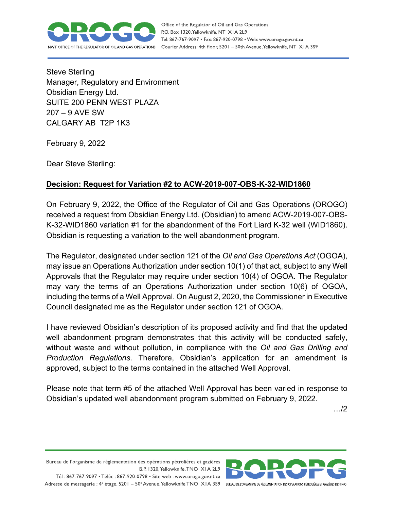

Office of the Regulator of Oil and Gas Operations P.O. Box 1320, Yellowknife, NT XIA 2L9 Tel: 867-767-9097 • Fax: 867-920-0798 • Web: www.orogo.gov.nt.ca Courier Address: 4th floor, 5201 - 50th Avenue, Yellowknife, NT XIA 3S9

Steve Sterling Manager, Regulatory and Environment Obsidian Energy Ltd. SUITE 200 PENN WEST PLAZA 207 – 9 AVE SW CALGARY AB T2P 1K3

February 9, 2022

Dear Steve Sterling:

## **Decision: Request for Variation #2 to ACW-2019-007-OBS-K-32-WID1860**

On February 9, 2022, the Office of the Regulator of Oil and Gas Operations (OROGO) received a request from Obsidian Energy Ltd. (Obsidian) to amend ACW-2019-007-OBS-K-32-WID1860 variation #1 for the abandonment of the Fort Liard K-32 well (WID1860). Obsidian is requesting a variation to the well abandonment program.

The Regulator, designated under section 121 of the *Oil and Gas Operations Act* (OGOA), may issue an Operations Authorization under section 10(1) of that act, subject to any Well Approvals that the Regulator may require under section 10(4) of OGOA. The Regulator may vary the terms of an Operations Authorization under section 10(6) of OGOA, including the terms of a Well Approval. On August 2, 2020, the Commissioner in Executive Council designated me as the Regulator under section 121 of OGOA.

I have reviewed Obsidian's description of its proposed activity and find that the updated well abandonment program demonstrates that this activity will be conducted safely, without waste and without pollution, in compliance with the *Oil and Gas Drilling and Production Regulations*. Therefore, Obsidian's application for an amendment is approved, subject to the terms contained in the attached Well Approval.

Please note that term #5 of the attached Well Approval has been varied in response to Obsidian's updated well abandonment program submitted on February 9, 2022.

…/2

Bureau de l'organisme de réglementation des opérations pétrolières et gazières B.P. 1320, Yellowknife, TNO XIA 2L9

Tél: 867-767-9097 • Téléc: 867-920-0798 • Site web: www.orogo.gov.nt.ca Adresse de messagerie : 4<sup>e</sup> étage, 5201 - 50° Avenue, Yellowknife TNO XIA 3S9 BUREAU DE L'ORGANISME DE RÉGLEMENTATION DES OPERATIONS PÉTROLIÈRES ET GAZIÈRES DESTNO

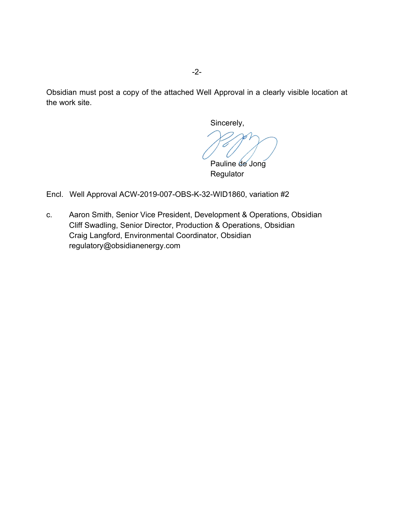Obsidian must post a copy of the attached Well Approval in a clearly visible location at the work site.

Sincerely,

Pauline de Jong

**Regulator** 

Encl. Well Approval ACW-2019-007-OBS-K-32-WID1860, variation #2

c. Aaron Smith, Senior Vice President, Development & Operations, Obsidian Cliff Swadling, Senior Director, Production & Operations, Obsidian Craig Langford, Environmental Coordinator, Obsidian regulatory@obsidianenergy.com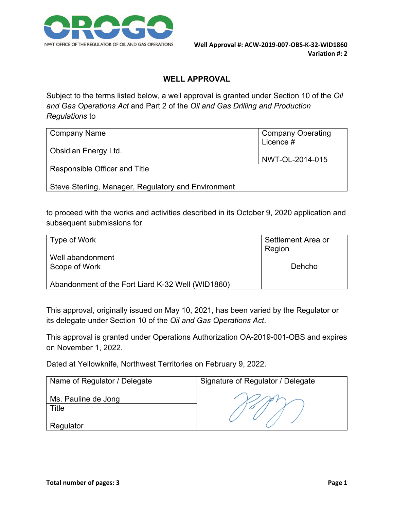

## **WELL APPROVAL**

Subject to the terms listed below, a well approval is granted under Section 10 of the *Oil and Gas Operations Act* and Part 2 of the *Oil and Gas Drilling and Production Regulations* to

| Company Name                                        | <b>Company Operating</b><br>Licence $\ddot{\#}$ |
|-----------------------------------------------------|-------------------------------------------------|
| Obsidian Energy Ltd.                                | NWT-OL-2014-015                                 |
| Responsible Officer and Title                       |                                                 |
| Steve Sterling, Manager, Regulatory and Environment |                                                 |

to proceed with the works and activities described in its October 9, 2020 application and subsequent submissions for

| Type of Work                                      | Settlement Area or<br>Region |
|---------------------------------------------------|------------------------------|
| Well abandonment                                  |                              |
| Scope of Work                                     | Dehcho                       |
| Abandonment of the Fort Liard K-32 Well (WID1860) |                              |

This approval, originally issued on May 10, 2021, has been varied by the Regulator or its delegate under Section 10 of the *Oil and Gas Operations Act*.

This approval is granted under Operations Authorization OA-2019-001-OBS and expires on November 1, 2022.

Dated at Yellowknife, Northwest Territories on February 9, 2022.

| Name of Regulator / Delegate | Signature of Regulator / Delegate |
|------------------------------|-----------------------------------|
| Ms. Pauline de Jong<br>Title |                                   |
| Regulator                    |                                   |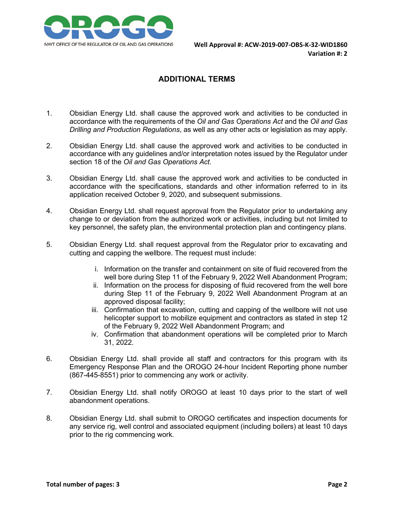

## **ADDITIONAL TERMS**

- 1. Obsidian Energy Ltd. shall cause the approved work and activities to be conducted in accordance with the requirements of the *Oil and Gas Operations Act* and the *Oil and Gas Drilling and Production Regulations*, as well as any other acts or legislation as may apply.
- 2. Obsidian Energy Ltd. shall cause the approved work and activities to be conducted in accordance with any guidelines and/or interpretation notes issued by the Regulator under section 18 of the *Oil and Gas Operations Act*.
- 3. Obsidian Energy Ltd. shall cause the approved work and activities to be conducted in accordance with the specifications, standards and other information referred to in its application received October 9, 2020, and subsequent submissions.
- 4. Obsidian Energy Ltd. shall request approval from the Regulator prior to undertaking any change to or deviation from the authorized work or activities, including but not limited to key personnel, the safety plan, the environmental protection plan and contingency plans.
- 5. Obsidian Energy Ltd. shall request approval from the Regulator prior to excavating and cutting and capping the wellbore. The request must include:
	- i. Information on the transfer and containment on site of fluid recovered from the well bore during Step 11 of the February 9, 2022 Well Abandonment Program:
	- ii. Information on the process for disposing of fluid recovered from the well bore during Step 11 of the February 9, 2022 Well Abandonment Program at an approved disposal facility;
	- iii. Confirmation that excavation, cutting and capping of the wellbore will not use helicopter support to mobilize equipment and contractors as stated in step 12 of the February 9, 2022 Well Abandonment Program; and
	- iv. Confirmation that abandonment operations will be completed prior to March 31, 2022.
- 6. Obsidian Energy Ltd. shall provide all staff and contractors for this program with its Emergency Response Plan and the OROGO 24-hour Incident Reporting phone number (867-445-8551) prior to commencing any work or activity.
- 7. Obsidian Energy Ltd. shall notify OROGO at least 10 days prior to the start of well abandonment operations.
- 8. Obsidian Energy Ltd. shall submit to OROGO certificates and inspection documents for any service rig, well control and associated equipment (including boilers) at least 10 days prior to the rig commencing work.